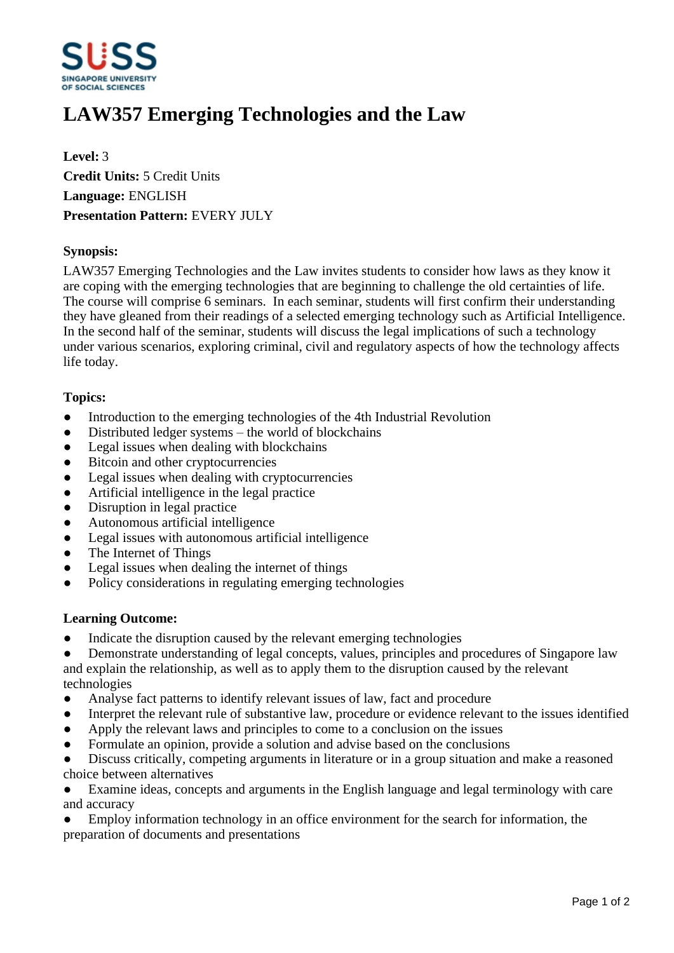

# **LAW357 Emerging Technologies and the Law**

**Level:** 3 **Credit Units:** 5 Credit Units **Language:** ENGLISH **Presentation Pattern:** EVERY JULY

### **Synopsis:**

LAW357 Emerging Technologies and the Law invites students to consider how laws as they know it are coping with the emerging technologies that are beginning to challenge the old certainties of life. The course will comprise 6 seminars. In each seminar, students will first confirm their understanding they have gleaned from their readings of a selected emerging technology such as Artificial Intelligence. In the second half of the seminar, students will discuss the legal implications of such a technology under various scenarios, exploring criminal, civil and regulatory aspects of how the technology affects life today.

#### **Topics:**

- Introduction to the emerging technologies of the 4th Industrial Revolution
- $\bullet$  Distributed ledger systems  $-\text{ the world of block chains}$
- Legal issues when dealing with blockchains
- Bitcoin and other cryptocurrencies
- Legal issues when dealing with cryptocurrencies
- Artificial intelligence in the legal practice
- Disruption in legal practice
- ƔAutonomous artificial intelligence
- Legal issues with autonomous artificial intelligence
- The Internet of Things
- Legal issues when dealing the internet of things
- Policy considerations in regulating emerging technologies

#### **Learning Outcome:**

- Indicate the disruption caused by the relevant emerging technologies
- Demonstrate understanding of legal concepts, values, principles and procedures of Singapore law

and explain the relationship, as well as to apply them to the disruption caused by the relevant technologies

- Analyse fact patterns to identify relevant issues of law, fact and procedure
- Interpret the relevant rule of substantive law, procedure or evidence relevant to the issues identified
- Apply the relevant laws and principles to come to a conclusion on the issues
- Formulate an opinion, provide a solution and advise based on the conclusions
- Discuss critically, competing arguments in literature or in a group situation and make a reasoned choice between alternatives

• Examine ideas, concepts and arguments in the English language and legal terminology with care and accuracy

Employ information technology in an office environment for the search for information, the preparation of documents and presentations